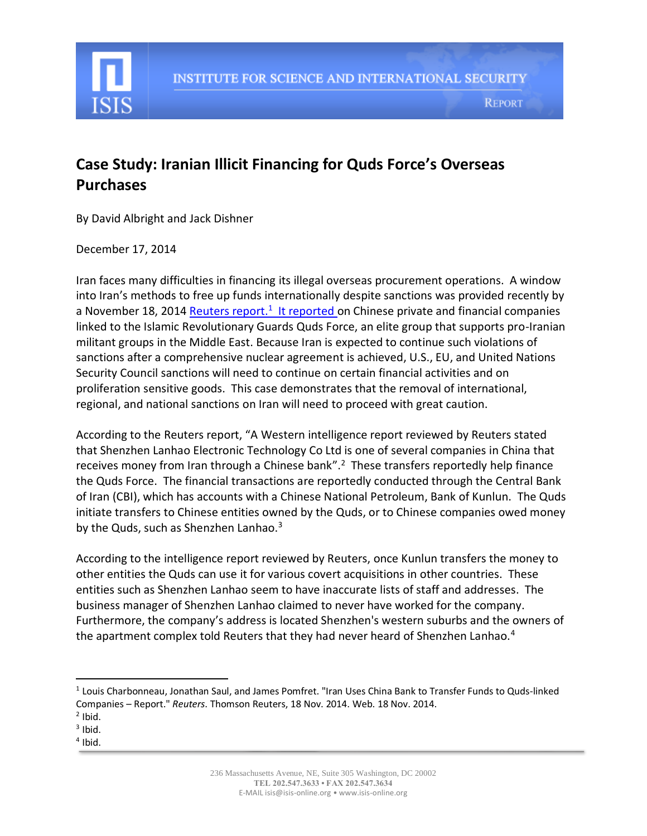

## **Case Study: Iranian Illicit Financing for Quds Force's Overseas Purchases**

By David Albright and Jack Dishner

## December 17, 2014

Iran faces many difficulties in financing its illegal overseas procurement operations. A window into Iran's methods to free up funds internationally despite sanctions was provided recently by a November 18, 2014 [Reuters report.](http://www.reuters.com/article/2014/11/19/us-iran-sanctions-china-exclusive-idUSKCN0J20CE20141119)<sup>1</sup> It reported on Chinese private and financial companies linked to the Islamic Revolutionary Guards Quds Force, an elite group that supports pro-Iranian militant groups in the Middle East. Because Iran is expected to continue such violations of sanctions after a comprehensive nuclear agreement is achieved, U.S., EU, and United Nations Security Council sanctions will need to continue on certain financial activities and on proliferation sensitive goods. This case demonstrates that the removal of international, regional, and national sanctions on Iran will need to proceed with great caution.

According to the Reuters report, "A Western intelligence report reviewed by Reuters stated that Shenzhen Lanhao Electronic Technology Co Ltd is one of several companies in China that receives money from Iran through a Chinese bank".<sup>2</sup> These transfers reportedly help finance the Quds Force. The financial transactions are reportedly conducted through the Central Bank of Iran (CBI), which has accounts with a Chinese National Petroleum, Bank of Kunlun. The Quds initiate transfers to Chinese entities owned by the Quds, or to Chinese companies owed money by the Quds, such as Shenzhen Lanhao.<sup>3</sup>

According to the intelligence report reviewed by Reuters, once Kunlun transfers the money to other entities the Quds can use it for various covert acquisitions in other countries. These entities such as Shenzhen Lanhao seem to have inaccurate lists of staff and addresses. The business manager of Shenzhen Lanhao claimed to never have worked for the company. Furthermore, the company's address is located Shenzhen's western suburbs and the owners of the apartment complex told Reuters that they had never heard of Shenzhen Lanhao.<sup>4</sup>

 $\overline{\phantom{a}}$ 

<sup>&</sup>lt;sup>1</sup> Louis Charbonneau, Jonathan Saul, and James Pomfret. "Iran Uses China Bank to Transfer Funds to Quds-linked Companies – Report." *Reuters*. Thomson Reuters, 18 Nov. 2014. Web. 18 Nov. 2014.

 $2$  Ibid.

 $3$  Ibid.

<sup>4</sup> Ibid.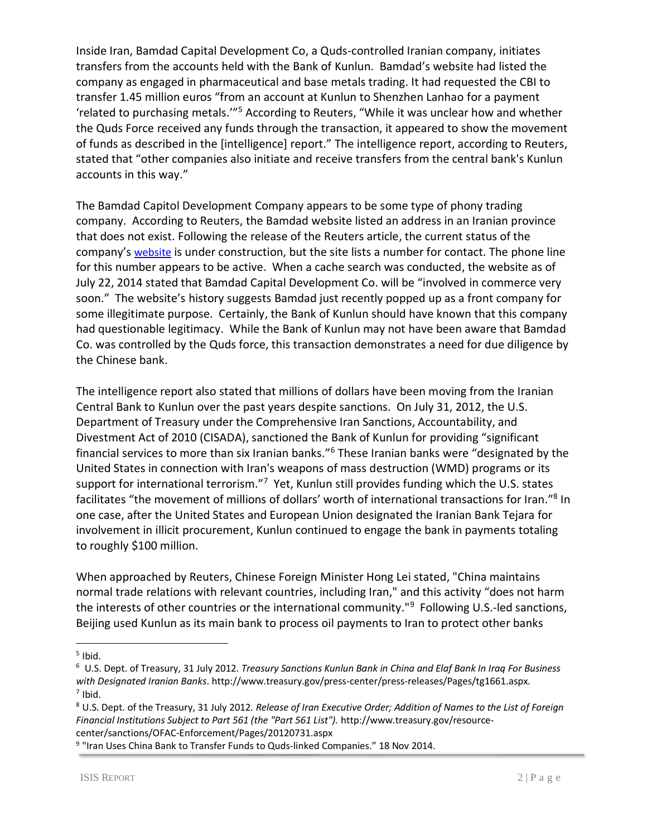Inside Iran, Bamdad Capital Development Co, a Quds-controlled Iranian company, initiates transfers from the accounts held with the Bank of Kunlun. Bamdad's website had listed the company as engaged in pharmaceutical and base metals trading. It had requested the CBI to transfer 1.45 million euros "from an account at Kunlun to Shenzhen Lanhao for a payment 'related to purchasing metals.'"<sup>5</sup> According to Reuters, "While it was unclear how and whether the Quds Force received any funds through the transaction, it appeared to show the movement of funds as described in the [intelligence] report." The intelligence report, according to Reuters, stated that "other companies also initiate and receive transfers from the central bank's Kunlun accounts in this way."

The Bamdad Capitol Development Company appears to be some type of phony trading company. According to Reuters, the Bamdad website listed an address in an Iranian province that does not exist. Following the release of the Reuters article, the current status of the company's [website](http://bcdco.biz/) is under construction, but the site lists a number for contact. The phone line for this number appears to be active. When a cache search was conducted, the website as of July 22, 2014 stated that Bamdad Capital Development Co. will be "involved in commerce very soon." The website's history suggests Bamdad just recently popped up as a front company for some illegitimate purpose. Certainly, the Bank of Kunlun should have known that this company had questionable legitimacy. While the Bank of Kunlun may not have been aware that Bamdad Co. was controlled by the Quds force, this transaction demonstrates a need for due diligence by the Chinese bank.

The intelligence report also stated that millions of dollars have been moving from the Iranian Central Bank to Kunlun over the past years despite sanctions. On July 31, 2012, the U.S. Department of Treasury under the Comprehensive Iran Sanctions, Accountability, and Divestment Act of 2010 (CISADA), sanctioned the Bank of Kunlun for providing "significant financial services to more than six Iranian banks."<sup>6</sup> These Iranian banks were "designated by the United States in connection with Iran's weapons of mass destruction (WMD) programs or its support for international terrorism."<sup>7</sup> Yet, Kunlun still provides funding which the U.S. states facilitates "the movement of millions of dollars' worth of international transactions for Iran."<sup>8</sup> In one case, after the United States and European Union designated the Iranian Bank Tejara for involvement in illicit procurement, Kunlun continued to engage the bank in payments totaling to roughly \$100 million.

When approached by Reuters, Chinese Foreign Minister Hong Lei stated, "China maintains normal trade relations with relevant countries, including Iran," and this activity "does not harm the interests of other countries or the international community."<sup>9</sup> Following U.S.-led sanctions, Beijing used Kunlun as its main bank to process oil payments to Iran to protect other banks

 $\overline{\phantom{a}}$ 

<sup>&</sup>lt;sup>5</sup> Ibid.

<sup>6</sup> U.S. Dept. of Treasury, 31 July 2012. *Treasury Sanctions Kunlun Bank in China and Elaf Bank In Iraq For Business with Designated Iranian Banks*. http://www.treasury.gov/press-center/press-releases/Pages/tg1661.aspx. 7 Ibid.

<sup>8</sup> U.S. Dept. of the Treasury, 31 July 2012. *Release of Iran Executive Order; Addition of Names to the List of Foreign Financial Institutions Subject to Part 561 (the "Part 561 List").* http://www.treasury.gov/resourcecenter/sanctions/OFAC-Enforcement/Pages/20120731.aspx

<sup>&</sup>lt;sup>9</sup> "Iran Uses China Bank to Transfer Funds to Quds-linked Companies." 18 Nov 2014.